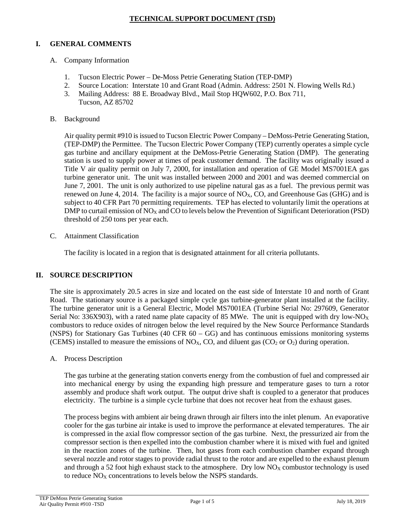## **TECHNICAL SUPPORT DOCUMENT (TSD)**

# **I. GENERAL COMMENTS**

- A. Company Information
	- 1. Tucson Electric Power De-Moss Petrie Generating Station (TEP-DMP)
	- 2. Source Location: Interstate 10 and Grant Road (Admin. Address: 2501 N. Flowing Wells Rd.)
	- 3. Mailing Address: 88 E. Broadway Blvd., Mail Stop HQW602, P.O. Box 711, Tucson, AZ 85702
- B. Background

Air quality permit #910 is issued to Tucson Electric Power Company – DeMoss-Petrie Generating Station, (TEP-DMP) the Permittee. The Tucson Electric Power Company (TEP) currently operates a simple cycle gas turbine and ancillary equipment at the DeMoss-Petrie Generating Station (DMP). The generating station is used to supply power at times of peak customer demand. The facility was originally issued a Title V air quality permit on July 7, 2000, for installation and operation of GE Model MS7001EA gas turbine generator unit. The unit was installed between 2000 and 2001 and was deemed commercial on June 7, 2001. The unit is only authorized to use pipeline natural gas as a fuel. The previous permit was renewed on June 4, 2014. The facility is a major source of  $NO<sub>X</sub>$ , CO, and Greenhouse Gas (GHG) and is subject to 40 CFR Part 70 permitting requirements. TEP has elected to voluntarily limit the operations at DMP to curtail emission of  $NO<sub>X</sub>$  and CO to levels below the Prevention of Significant Deterioration (PSD) threshold of 250 tons per year each.

C. Attainment Classification

The facility is located in a region that is designated attainment for all criteria pollutants.

## **II. SOURCE DESCRIPTION**

The site is approximately 20.5 acres in size and located on the east side of Interstate 10 and north of Grant Road. The stationary source is a packaged simple cycle gas turbine-generator plant installed at the facility. The turbine generator unit is a General Electric, Model MS7001EA (Turbine Serial No: 297609, Generator Serial No: 336X903), with a rated name plate capacity of 85 MWe. The unit is equipped with dry low-NO<sub>X</sub> combustors to reduce oxides of nitrogen below the level required by the New Source Performance Standards (NSPS) for Stationary Gas Turbines (40 CFR 60 – GG) and has continuous emissions monitoring systems (CEMS) installed to measure the emissions of NO<sub>X</sub>, CO, and diluent gas (CO<sub>2</sub> or O<sub>2</sub>) during operation.

A. Process Description

The gas turbine at the generating station converts energy from the combustion of fuel and compressed air into mechanical energy by using the expanding high pressure and temperature gases to turn a rotor assembly and produce shaft work output. The output drive shaft is coupled to a generator that produces electricity. The turbine is a simple cycle turbine that does not recover heat from the exhaust gases.

The process begins with ambient air being drawn through air filters into the inlet plenum. An evaporative cooler for the gas turbine air intake is used to improve the performance at elevated temperatures. The air is compressed in the axial flow compressor section of the gas turbine. Next, the pressurized air from the compressor section is then expelled into the combustion chamber where it is mixed with fuel and ignited in the reaction zones of the turbine. Then, hot gases from each combustion chamber expand through several nozzle and rotor stages to provide radial thrust to the rotor and are expelled to the exhaust plenum and through a 52 foot high exhaust stack to the atmosphere. Dry low  $NO<sub>X</sub>$  combustor technology is used to reduce  $NO<sub>X</sub>$  concentrations to levels below the NSPS standards.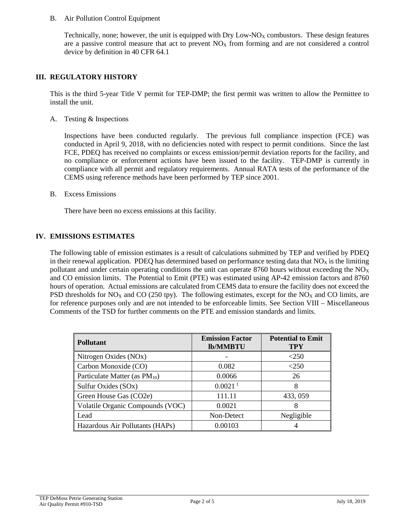#### B. Air Pollution Control Equipment

Technically, none; however, the unit is equipped with Dry Low- $NQ_X$  combustors. These design features are a passive control measure that act to prevent  $NO<sub>X</sub>$  from forming and are not considered a control device by definition in 40 CFR 64.1

### **III. REGULATORY HISTORY**

This is the third 5-year Title V permit for TEP-DMP; the first permit was written to allow the Permittee to install the unit.

A. Testing & Inspections

Inspections have been conducted regularly. The previous full compliance inspection (FCE) was conducted in April 9, 2018, with no deficiencies noted with respect to permit conditions. Since the last FCE, PDEQ has received no complaints or excess emission/permit deviation reports for the facility, and no compliance or enforcement actions have been issued to the facility. TEP-DMP is currently in compliance with all permit and regulatory requirements. Annual RATA tests of the performance of the CEMS using reference methods have been performed by TEP since 2001.

B. Excess Emissions

There have been no excess emissions at this facility.

### **IV. EMISSIONS ESTIMATES**

The following table of emission estimates is a result of calculations submitted by TEP and verified by PDEQ in their renewal application. PDEQ has determined based on performance testing data that  $NO<sub>X</sub>$  is the limiting pollutant and under certain operating conditions the unit can operate 8760 hours without exceeding the  $NO<sub>X</sub>$ and CO emission limits. The Potential to Emit (PTE) was estimated using AP-42 emission factors and 8760 hours of operation. Actual emissions are calculated from CEMS data to ensure the facility does not exceed the PSD thresholds for  $NO<sub>X</sub>$  and CO (250 tpy). The following estimates, except for the  $NO<sub>X</sub>$  and CO limits, are for reference purposes only and are not intended to be enforceable limits. See Section VIII – Miscellaneous Comments of the TSD for further comments on the PTE and emission standards and limits.

| <b>Pollutant</b>                   | <b>Emission Factor</b><br><b>lb/MMBTU</b> | <b>Potential to Emit</b><br>TPY |
|------------------------------------|-------------------------------------------|---------------------------------|
| Nitrogen Oxides (NOx)              |                                           | < 250                           |
| Carbon Monoxide (CO)               | 0.082                                     | $<$ 250                         |
| Particulate Matter (as $PM_{10}$ ) | 0.0066                                    | 26                              |
| Sulfur Oxides (SOx)                | 0.0021 <sup>1</sup>                       | 8                               |
| Green House Gas (CO2e)             | 111.11                                    | 433, 059                        |
| Volatile Organic Compounds (VOC)   | 0.0021                                    | 8                               |
| Lead                               | Non-Detect                                | Negligible                      |
| Hazardous Air Pollutants (HAPs)    | 0.00103                                   |                                 |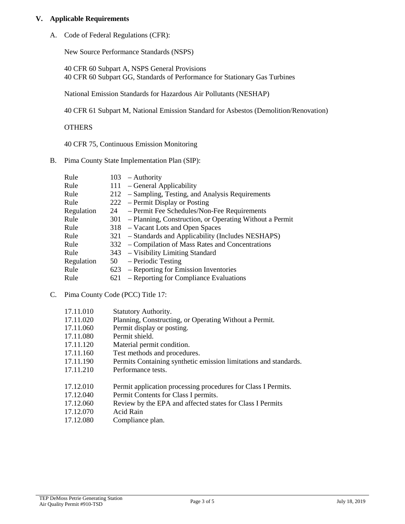### **V. Applicable Requirements**

A. Code of Federal Regulations (CFR):

New Source Performance Standards (NSPS)

40 CFR 60 Subpart A, NSPS General Provisions 40 CFR 60 Subpart GG, Standards of Performance for Stationary Gas Turbines

National Emission Standards for Hazardous Air Pollutants (NESHAP)

40 CFR 61 Subpart M, National Emission Standard for Asbestos (Demolition/Renovation)

**OTHERS** 

40 CFR 75, Continuous Emission Monitoring

B. Pima County State Implementation Plan (SIP):

| Rule       |     | $103$ – Authority                                           |
|------------|-----|-------------------------------------------------------------|
| Rule       |     | 111 - General Applicability                                 |
| Rule       |     | 212 – Sampling, Testing, and Analysis Requirements          |
| Rule       |     | 222 – Permit Display or Posting                             |
| Regulation |     | 24 – Permit Fee Schedules/Non-Fee Requirements              |
| Rule       |     | 301 – Planning, Construction, or Operating Without a Permit |
| Rule       |     | 318 – Vacant Lots and Open Spaces                           |
| Rule       |     | 321 – Standards and Applicability (Includes NESHAPS)        |
| Rule       |     | 332 – Compilation of Mass Rates and Concentrations          |
| Rule       |     | 343 – Visibility Limiting Standard                          |
| Regulation |     | $50 - Periodic Testing$                                     |
| Rule       |     | 623 – Reporting for Emission Inventories                    |
| Rule       | 621 | - Reporting for Compliance Evaluations                      |
|            |     |                                                             |

## C. Pima County Code (PCC) Title 17:

| <b>Statutory Authority.</b>                                      |
|------------------------------------------------------------------|
| Planning, Constructing, or Operating Without a Permit.           |
| Permit display or posting.                                       |
| Permit shield.                                                   |
| Material permit condition.                                       |
| Test methods and procedures.                                     |
| Permits Containing synthetic emission limitations and standards. |
| Performance tests.                                               |
|                                                                  |
| Permit application processing procedures for Class I Permits.    |
| Permit Contents for Class I permits.                             |
| Review by the EPA and affected states for Class I Permits        |
|                                                                  |

- 17.12.070 Acid Rain
- 17.12.080 Compliance plan.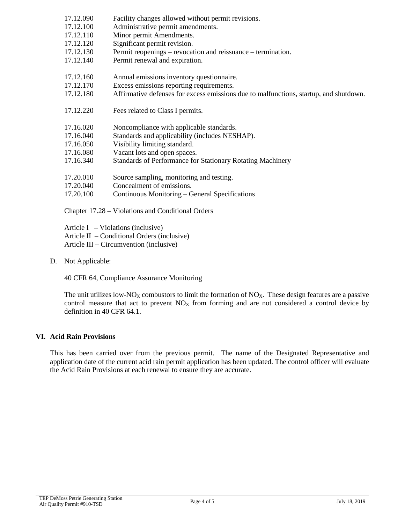| 17.12.090 | Facility changes allowed without permit revisions.                                    |
|-----------|---------------------------------------------------------------------------------------|
| 17.12.100 | Administrative permit amendments.                                                     |
| 17.12.110 | Minor permit Amendments.                                                              |
| 17.12.120 | Significant permit revision.                                                          |
| 17.12.130 | Permit reopenings – revocation and reissuance – termination.                          |
| 17.12.140 | Permit renewal and expiration.                                                        |
|           |                                                                                       |
| 17.12.160 | Annual emissions inventory questionnaire.                                             |
| 17.12.170 | Excess emissions reporting requirements.                                              |
| 17.12.180 | Affirmative defenses for excess emissions due to malfunctions, startup, and shutdown. |
|           |                                                                                       |
| 17.12.220 | Fees related to Class I permits.                                                      |
|           |                                                                                       |
| 17.16.020 | Noncompliance with applicable standards.                                              |
| 17.16.040 | Standards and applicability (includes NESHAP).                                        |
| 17.16.050 | Visibility limiting standard.                                                         |
| 17.16.080 | Vacant lots and open spaces.                                                          |
| 17.16.340 | Standards of Performance for Stationary Rotating Machinery                            |
|           |                                                                                       |
| 17.20.010 | Source sampling, monitoring and testing.                                              |
| 17.20.040 | Concealment of emissions.                                                             |
| 17.20.100 | Continuous Monitoring – General Specifications                                        |
|           |                                                                                       |
|           |                                                                                       |

Chapter 17.28 – Violations and Conditional Orders

Article I – Violations (inclusive) Article II – Conditional Orders (inclusive) Article III – Circumvention (inclusive)

D. Not Applicable:

40 CFR 64, Compliance Assurance Monitoring

The unit utilizes low-NO<sub>X</sub> combustors to limit the formation of NO<sub>X</sub>. These design features are a passive control measure that act to prevent  $NO<sub>X</sub>$  from forming and are not considered a control device by definition in 40 CFR 64.1.

## **VI. Acid Rain Provisions**

This has been carried over from the previous permit. The name of the Designated Representative and application date of the current acid rain permit application has been updated. The control officer will evaluate the Acid Rain Provisions at each renewal to ensure they are accurate.